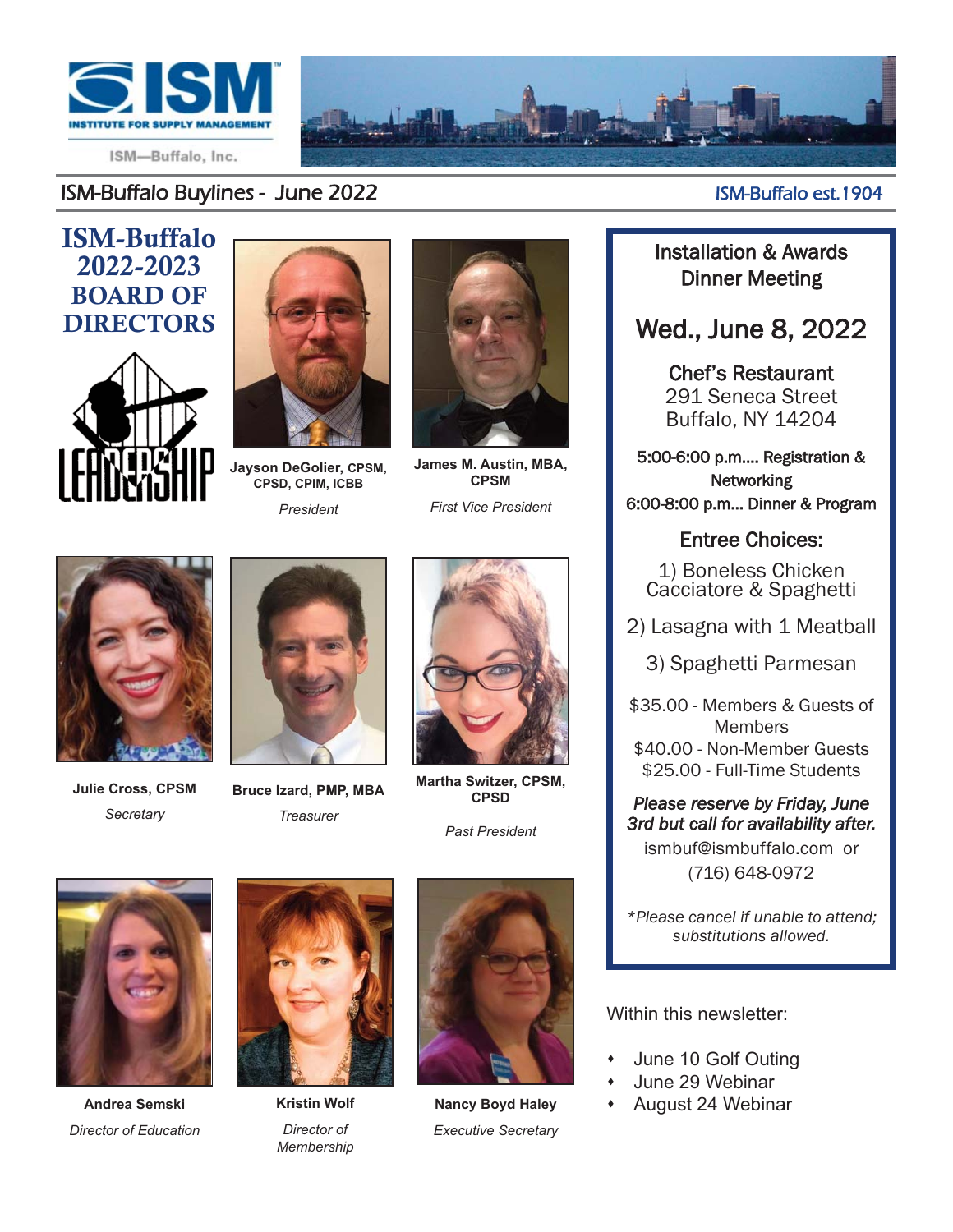

ISM-Buffalo, Inc.

#### ISM-Buffalo 2022-2023 BOARD OF DIRECTORS





**Jayson DeGolier, CPSM, CPSD, CPIM, ICBB** *President*



**James M. Austin, MBA, CPSM**

*First Vice President*



**Julie Cross, CPSM** *Secretary*



**Bruce Izard, PMP, MBA** *Treasurer*



**Martha Switzer, CPSM, CPSD** 

*Past President*



**Andrea Semski** *Director of Education*



**Kristin Wolf** *Director of Membership*



**Nancy Boyd Haley** *Executive Secretary*

#### ISM-Buffalo Buylines - June 2022 ISM-Buffalo est.1904

Installation & Awards Dinner Meeting

### Wed., June 8, 2022

Chef's Restaurant 291 Seneca Street Buffalo, NY 14204

5:00-6:00 p.m.... Registration & **Networking** 6:00-8:00 p.m... Dinner & Program

#### Entree Choices:

1) Boneless Chicken Cacciatore & Spaghetti

2) Lasagna with 1 Meatball

3) Spaghetti Parmesan

\$35.00 - Members & Guests of **Members** \$40.00 - Non-Member Guests

\$25.00 - Full-Time Students

*Please reserve by Friday, June 3rd but call for availability after.* ismbuf@ismbuffalo.com or (716) 648-0972

*\*Please cancel if unable to attend; substitutions allowed.*

Within this newsletter:

- June 10 Golf Outing
- June 29 Webinar
- + August 24 Webinar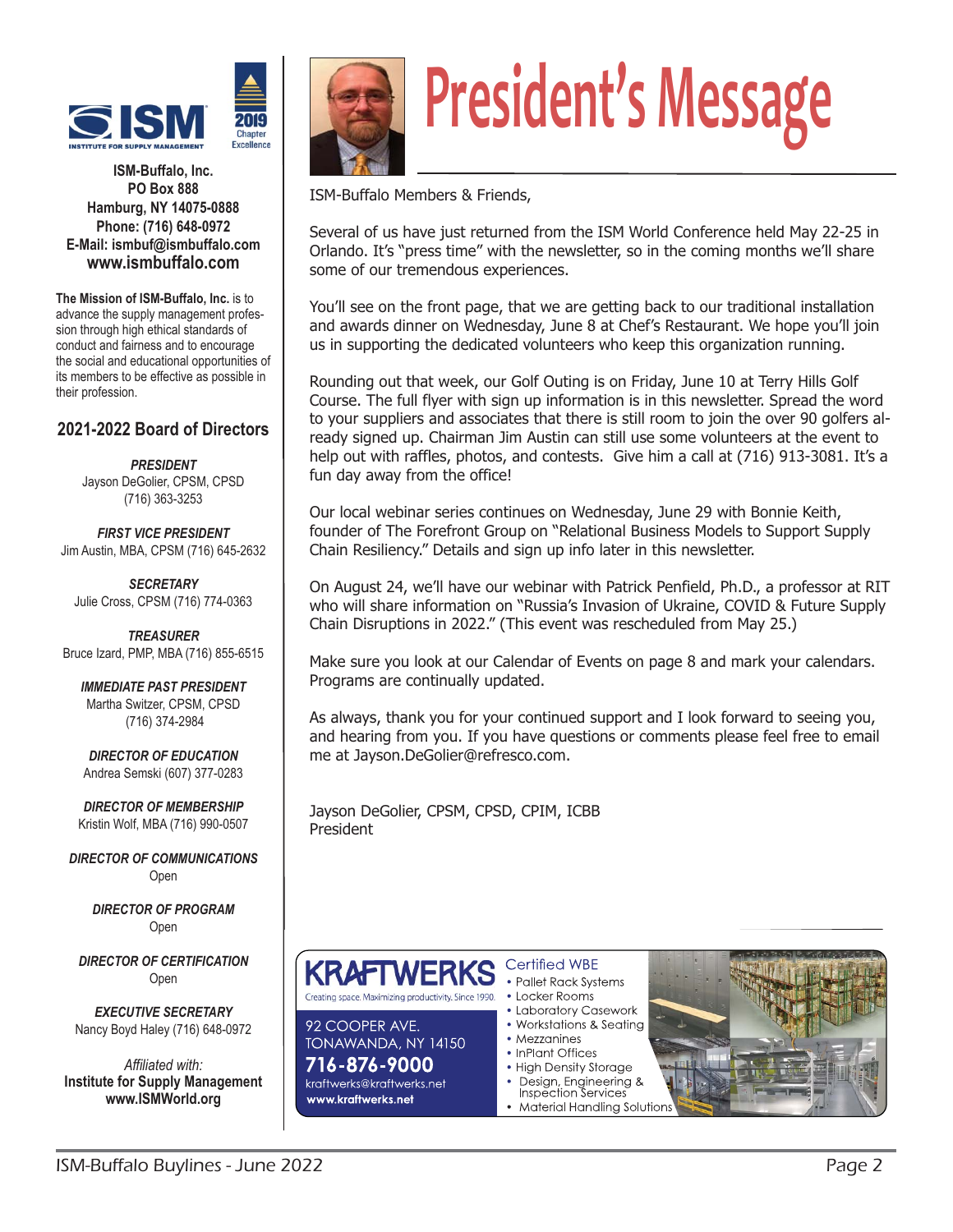

**ISM-Buffalo, Inc. PO Box 888 Hamburg, NY 14075-0888 Phone: (716) 648-0972 E-Mail: ismbuf@ismbuffalo.com www.ismbuffalo.com** 

**The Mission of ISM-Buffalo, Inc.** is to advance the supply management profession through high ethical standards of conduct and fairness and to encourage the social and educational opportunities of its members to be effective as possible in their profession.

#### **2021-2022 Board of Directors**

*PRESIDENT*  Jayson DeGolier, CPSM, CPSD (716) 363-3253

*FIRST VICE PRESIDENT*  Jim Austin, MBA, CPSM (716) 645-2632

*SECRETARY*  Julie Cross, CPSM (716) 774-0363

*TREASURER*  Bruce Izard, PMP, MBA (716) 855-6515

*IMMEDIATE PAST PRESIDENT*  Martha Switzer, CPSM, CPSD (716) 374-2984

*DIRECTOR OF EDUCATION*  Andrea Semski (607) 377-0283

*DIRECTOR OF MEMBERSHIP*  Kristin Wolf, MBA (716) 990-0507

*DIRECTOR OF COMMUNICATIONS* Open

> *DIRECTOR OF PROGRAM*  Open

*DIRECTOR OF CERTIFICATION*  Open

*EXECUTIVE SECRETARY*  Nancy Boyd Haley (716) 648-0972

*Affiliated with:* **Institute for Supply Management www.ISMWorld.org** 



# **President's Message**

ISM-Buffalo Members & Friends,

Several of us have just returned from the ISM World Conference held May 22-25 in Orlando. It's "press time" with the newsletter, so in the coming months we'll share some of our tremendous experiences.

You'll see on the front page, that we are getting back to our traditional installation and awards dinner on Wednesday, June 8 at Chef's Restaurant. We hope you'll join us in supporting the dedicated volunteers who keep this organization running.

Rounding out that week, our Golf Outing is on Friday, June 10 at Terry Hills Golf Course. The full flyer with sign up information is in this newsletter. Spread the word to your suppliers and associates that there is still room to join the over 90 golfers already signed up. Chairman Jim Austin can still use some volunteers at the event to help out with raffles, photos, and contests. Give him a call at (716) 913-3081. It's a fun day away from the office!

Our local webinar series continues on Wednesday, June 29 with Bonnie Keith, founder of The Forefront Group on "Relational Business Models to Support Supply Chain Resiliency." Details and sign up info later in this newsletter.

On August 24, we'll have our webinar with Patrick Penfield, Ph.D., a professor at RIT who will share information on "Russia's Invasion of Ukraine, COVID & Future Supply Chain Disruptions in 2022." (This event was rescheduled from May 25.)

Make sure you look at our Calendar of Events on page 8 and mark your calendars. Programs are continually updated.

As always, thank you for your continued support and I look forward to seeing you, and hearing from you. If you have questions or comments please feel free to email me at Jayson.DeGolier@refresco.com.

Jayson DeGolier, CPSM, CPSD, CPIM, ICBB President



92 COOPER AVE.

716-876-9000

kraftwerks@kraftwerks.net

TONAWANDA, NY 14150

• Locker Rooms Creating space. Maximizing productivity. Since 1990.

- Laboratory Casework • Workstations & Seating
- Mezzanines
- InPlant Offices
- High Density Storage
- Design, Engineering &<br>Inspection Services
- Material Handling Solution

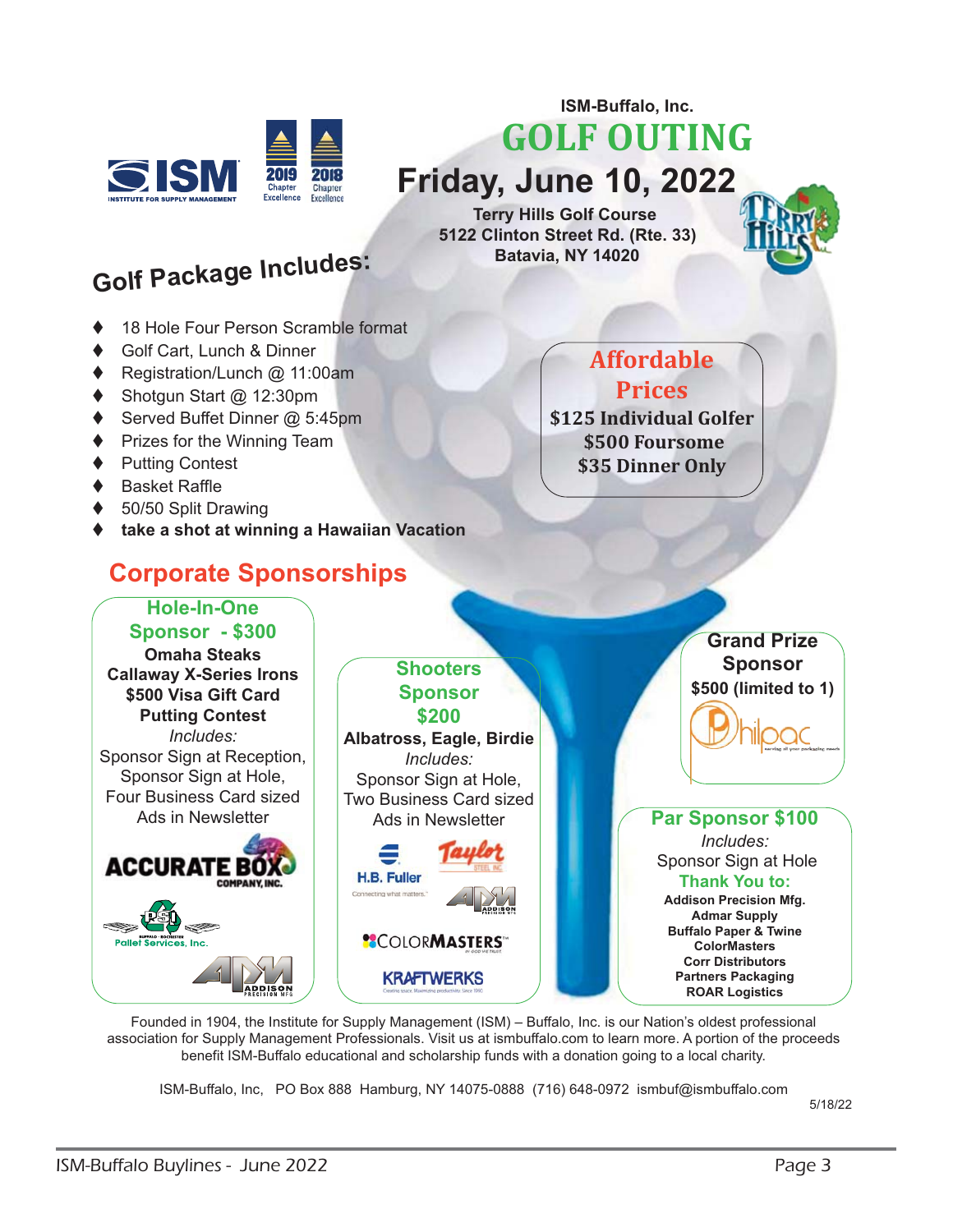

**GOLF OUTING Friday, June 10, 2022**

**ISM-Buffalo, Inc.** 

**Terry Hills Golf Course 5122 Clinton Street Rd. (Rte. 33) Batavia, NY 14020** 



# **Golf Package Includes:**

- ◆ 18 Hole Four Person Scramble format
- Golf Cart, Lunch & Dinner
- Registration/Lunch @ 11:00am
- ♦ Shotgun Start @ 12:30pm
- ◆ Served Buffet Dinner @ 5:45pm
- ♦ Prizes for the Winning Team
- ♦ Putting Contest
- ◆ Basket Raffle
- ◆ 50/50 Split Drawing
- **take a shot at winning a Hawaiian Vacation**

#### **Corporate Sponsorships**

#### **Hole-In-One**

**Sponsor - \$300 Omaha Steaks Callaway X-Series Irons \$500 Visa Gift Card Putting Contest** *Includes:* Sponsor Sign at Reception, Sponsor Sign at Hole, Four Business Card sized Ads in Newsletter



#### **Sponsor \$200 Albatross, Eagle, Birdie** *Includes:* Sponsor Sign at Hole, Two Business Card sized Ads in Newsletter  $\equiv$ H.B. Fuller Connecting what matters." **SCOLORMASTERS**

**\$125 Individual Golfer \$500 Foursome \$35 Dinner Only** 

**Affordable** 

**Prices**



Founded in 1904, the Institute for Supply Management (ISM) – Buffalo, Inc. is our Nation's oldest professional association for Supply Management Professionals. Visit us at ismbuffalo.com to learn more. A portion of the proceeds benefit ISM-Buffalo educational and scholarship funds with a donation going to a local charity.

**KRAFTWERKS** 

**Shooters** 

ISM-Buffalo, Inc, PO Box 888 Hamburg, NY 14075-0888 (716) 648-0972 ismbuf@ismbuffalo.com

5/18/22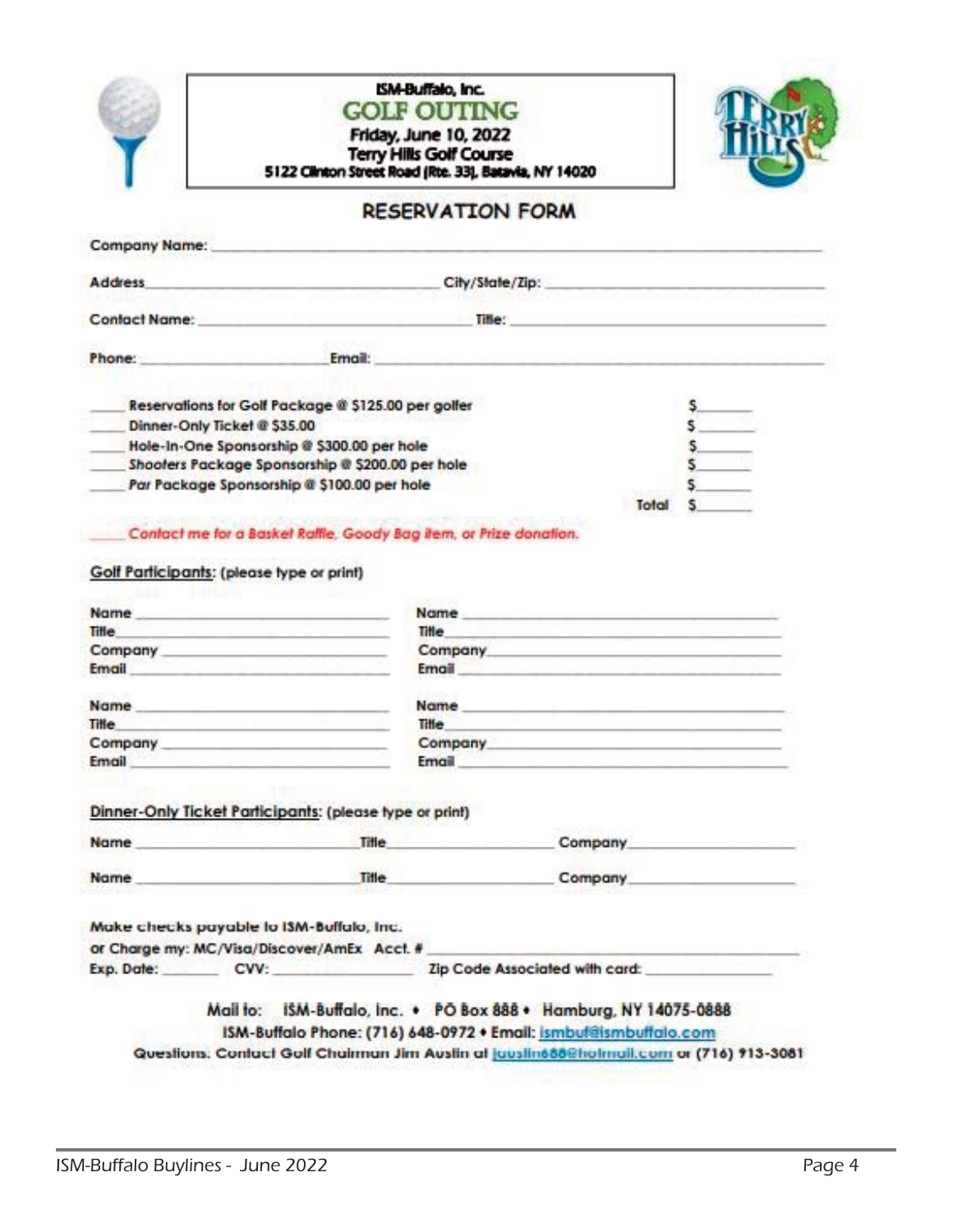| l,     |   |
|--------|---|
|        |   |
|        |   |
|        |   |
| ٠      |   |
|        |   |
|        |   |
|        | m |
|        |   |
|        |   |
| −      |   |
|        |   |
|        |   |
|        |   |
|        |   |
|        | ш |
|        |   |
|        |   |
| $\sim$ |   |
|        |   |
|        |   |
|        |   |
|        |   |
|        |   |
|        |   |
|        |   |
|        |   |
|        |   |
|        |   |
|        |   |
|        |   |
|        |   |
|        |   |





#### **RESERVATION FORM**

| <b>Address</b>               | City/State/Zip:                                     |  |
|------------------------------|-----------------------------------------------------|--|
| <b>Confact Name:</b>         | Tille:                                              |  |
| Phone:                       | Email:                                              |  |
|                              | Reservations for Golf Package @ \$125.00 per golfer |  |
| Dinner-Only Ticket @ \$35.00 |                                                     |  |
|                              | Hole-In-One Sponsorship @ \$300.00 per hole         |  |
|                              | Shooters Package Sponsorship @ \$200.00 per hole    |  |
|                              | Par Package Sponsorship @ \$100.00 per hole         |  |
|                              |                                                     |  |

Contact me for a Basket Raffle, Goody Bag item, or Prize donation.

#### Golf Participants: (please type or print)

| <b>Name</b>                                                                                                                                                                                                                    | <b>Norme</b><br>the contract of the contract of the contract of the contract of the contract of                                                                                                                                               | the company of the company of the company of the company of the company of the company of                                                                                                                                      |  |
|--------------------------------------------------------------------------------------------------------------------------------------------------------------------------------------------------------------------------------|-----------------------------------------------------------------------------------------------------------------------------------------------------------------------------------------------------------------------------------------------|--------------------------------------------------------------------------------------------------------------------------------------------------------------------------------------------------------------------------------|--|
| <b>Tille</b>                                                                                                                                                                                                                   | Title<br><u> Andrew Artist Andrew Artist Artist Andrew Artist Andrew Artist Artist Artist Artist Artist Artist Artist Artist Artist Artist Artist Artist Artist Artist Artist Artist Artist Artist Artist Artist Artist Artist Artist Art</u> | the company of the company of the company of the company of the company of the company of the company of the company of                                                                                                        |  |
| Company Company and the company of the company of the company of the company of the company of the company of the company of the company of the company of the company of the company of the company of the company of the com |                                                                                                                                                                                                                                               | Company Company and the company of the company of the company of the company of the company of the company of the company of the company of the company of the company of the company of the company of the company of the com |  |
| <b>Email</b>                                                                                                                                                                                                                   | <b>Email</b>                                                                                                                                                                                                                                  | and the company's state and the company's state of the company's state of the company's state of the                                                                                                                           |  |
| Name __________________________                                                                                                                                                                                                |                                                                                                                                                                                                                                               |                                                                                                                                                                                                                                |  |
| <b>Title</b>                                                                                                                                                                                                                   | <b>Title</b>                                                                                                                                                                                                                                  | <u> Espaina (Espaina de la califactulação de la califactulação de la califactulação de la califactulação de la c</u>                                                                                                           |  |
| Company Company and the company of the company of the company of the company of the company of the company of the company of the company of the company of the company of the company of the company of the company of the com |                                                                                                                                                                                                                                               | Company Company and the company of the company of the company of the company of the company of the company of the company of the company of the company of the company of the company of the company of the company of the com |  |
|                                                                                                                                                                                                                                |                                                                                                                                                                                                                                               | <b>Email</b>                                                                                                                                                                                                                   |  |
| Email                                                                                                                                                                                                                          | Dinner-Only Ticket Participants: (please type or print)                                                                                                                                                                                       |                                                                                                                                                                                                                                |  |
|                                                                                                                                                                                                                                | Name Title Title and the Title and the Title and the Title and the Title and the Title and the Title                                                                                                                                          | Company                                                                                                                                                                                                                        |  |
| <b>Name</b>                                                                                                                                                                                                                    | Title                                                                                                                                                                                                                                         | Company                                                                                                                                                                                                                        |  |
|                                                                                                                                                                                                                                |                                                                                                                                                                                                                                               |                                                                                                                                                                                                                                |  |
| Make checks payable to I3M-Buffalo, Inc.                                                                                                                                                                                       | or Charge my: MC/Visa/Discover/AmEx Acct. #                                                                                                                                                                                                   |                                                                                                                                                                                                                                |  |

#### ISM-Buffalo Phone: (716) 648-0972 . Email: ismbuff@ismbuffalo.com

Questions: Contact Golf Chairman Jim Auslin af jauslin665@hotmail.com or (716) 913-3081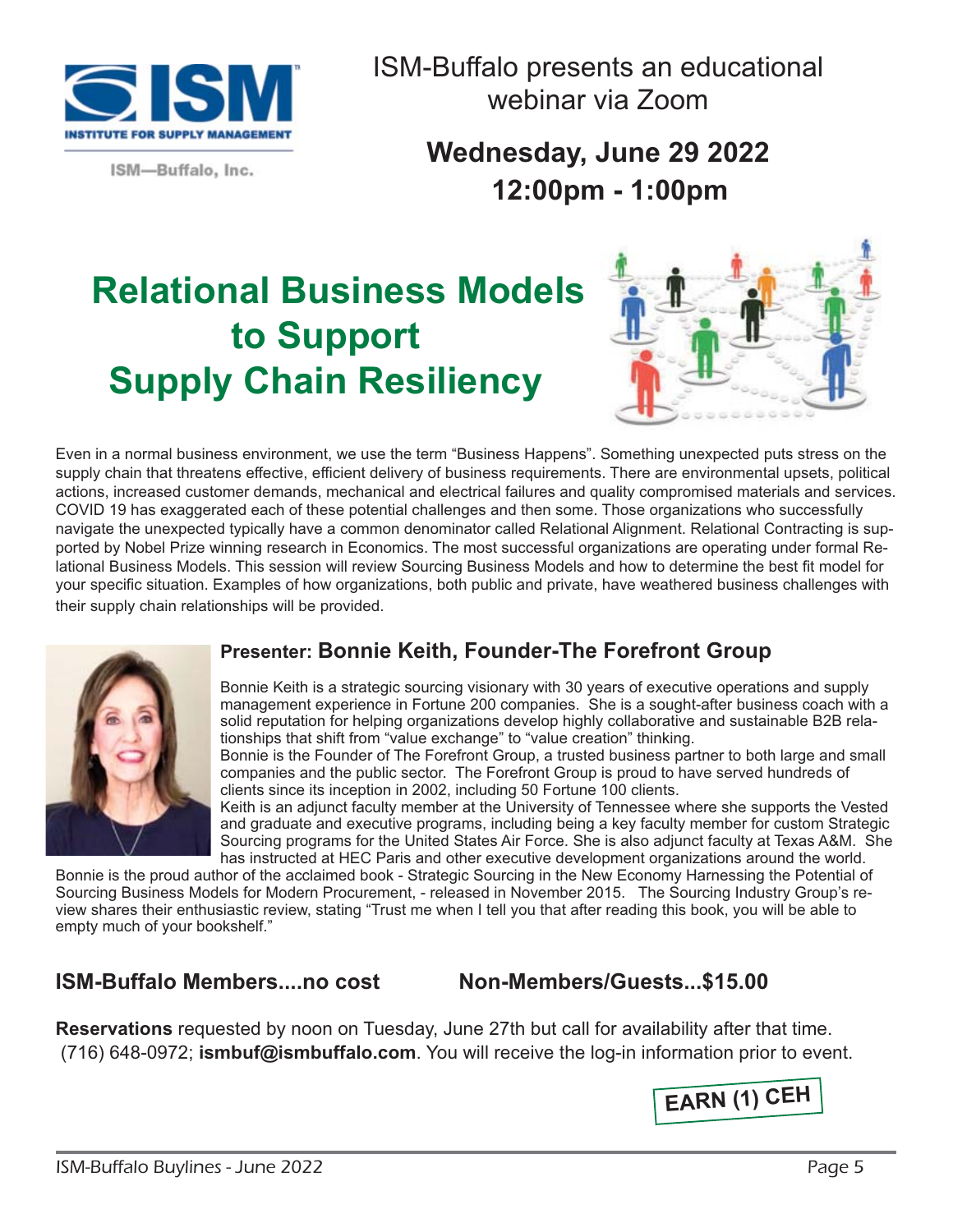

ISM-Buffalo presents an educational webinar via Zoom

ISM-Buffalo, Inc.

**Wednesday, June 29 2022 12:00pm - 1:00pm** 

## **Relational Business Models to Support Supply Chain Resiliency**



Even in a normal business environment, we use the term "Business Happens". Something unexpected puts stress on the supply chain that threatens effective, efficient delivery of business requirements. There are environmental upsets, political actions, increased customer demands, mechanical and electrical failures and quality compromised materials and services. COVID 19 has exaggerated each of these potential challenges and then some. Those organizations who successfully navigate the unexpected typically have a common denominator called Relational Alignment. Relational Contracting is supported by Nobel Prize winning research in Economics. The most successful organizations are operating under formal Relational Business Models. This session will review Sourcing Business Models and how to determine the best fit model for your specific situation. Examples of how organizations, both public and private, have weathered business challenges with their supply chain relationships will be provided.



#### **Presenter: Bonnie Keith, Founder-The Forefront Group**

Bonnie Keith is a strategic sourcing visionary with 30 years of executive operations and supply management experience in Fortune 200 companies. She is a sought-after business coach with a solid reputation for helping organizations develop highly collaborative and sustainable B2B relationships that shift from "value exchange" to "value creation" thinking.

Bonnie is the Founder of The Forefront Group, a trusted business partner to both large and small companies and the public sector. The Forefront Group is proud to have served hundreds of clients since its inception in 2002, including 50 Fortune 100 clients.

Keith is an adjunct faculty member at the University of Tennessee where she supports the Vested and graduate and executive programs, including being a key faculty member for custom Strategic Sourcing programs for the United States Air Force. She is also adjunct faculty at Texas A&M. She has instructed at HEC Paris and other executive development organizations around the world.

Bonnie is the proud author of the acclaimed book - Strategic Sourcing in the New Economy Harnessing the Potential of Sourcing Business Models for Modern Procurement, - released in November 2015. The Sourcing Industry Group's review shares their enthusiastic review, stating "Trust me when I tell you that after reading this book, you will be able to empty much of your bookshelf."

#### **ISM-Buffalo Members....no cost Non-Members/Guests...\$15.00**

**Reservations** requested by noon on Tuesday, June 27th but call for availability after that time. (716) 648-0972; **ismbuf@ismbuffalo.com**. You will receive the log-in information prior to event.

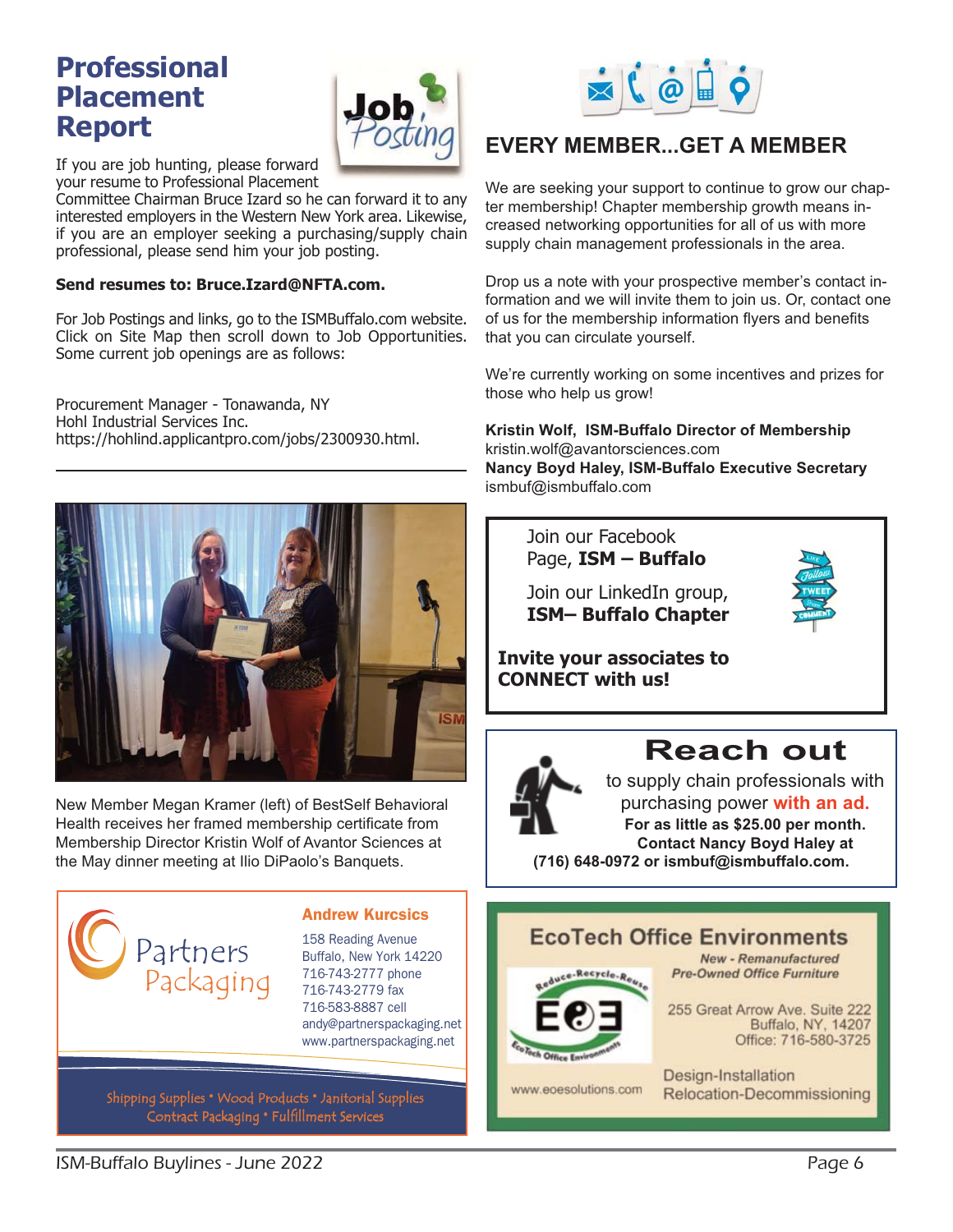#### **Professional Placement Report**



If you are job hunting, please forward your resume to Professional Placement

Committee Chairman Bruce Izard so he can forward it to any interested employers in the Western New York area. Likewise, if you are an employer seeking a purchasing/supply chain professional, please send him your job posting.

#### **Send resumes to: Bruce.Izard@NFTA.com.**

For Job Postings and links, go to the ISMBuffalo.com website. Click on Site Map then scroll down to Job Opportunities. Some current job openings are as follows:

Procurement Manager - Tonawanda, NY Hohl Industrial Services Inc. https://hohlind.applicantpro.com/jobs/2300930.html.



New Member Megan Kramer (left) of BestSelf Behavioral Health receives her framed membership certificate from Membership Director Kristin Wolf of Avantor Sciences at the May dinner meeting at Ilio DiPaolo's Banquets.



#### Andrew Kurcsics

158 Reading Avenue Buffalo, New York 14220 716-743-2777 phone 716-743-2779 fax 716-583-8887 cell andy@partnerspackaging.net www.partnerspackaging.net

Shipping Supplies • Wood Products • Janitorial Supplies Contract Packaging • Fulfillment Services



#### **EVERY MEMBER...GET A MEMBER**

We are seeking your support to continue to grow our chapter membership! Chapter membership growth means increased networking opportunities for all of us with more supply chain management professionals in the area.

Drop us a note with your prospective member's contact information and we will invite them to join us. Or, contact one of us for the membership information flyers and benefits that you can circulate yourself.

We're currently working on some incentives and prizes for those who help us grow!

**Kristin Wolf, ISM-Buffalo Director of Membership**  kristin.wolf@avantorsciences.com **Nancy Boyd Haley, ISM-Buffalo Executive Secretary**  ismbuf@ismbuffalo.com

 Join our Facebook Page, **ISM – Buffalo** 

 Join our LinkedIn group, **ISM– Buffalo Chapter** 



**Invite your associates to CONNECT with us!**



## **Reach out**

to supply chain professionals with purchasing power **with an ad. For as little as \$25.00 per month. Contact Nancy Boyd Haley at (716) 648-0972 or ismbuf@ismbuffalo.com.**

#### **EcoTech Office Environments**



**New - Remanufactured Pre-Owned Office Furniture** 

255 Great Arrow Ave. Suite 222 Buffalo, NY, 14207 Office: 716-580-3725

www.eoesolutions.com

Design-Installation Relocation-Decommissioning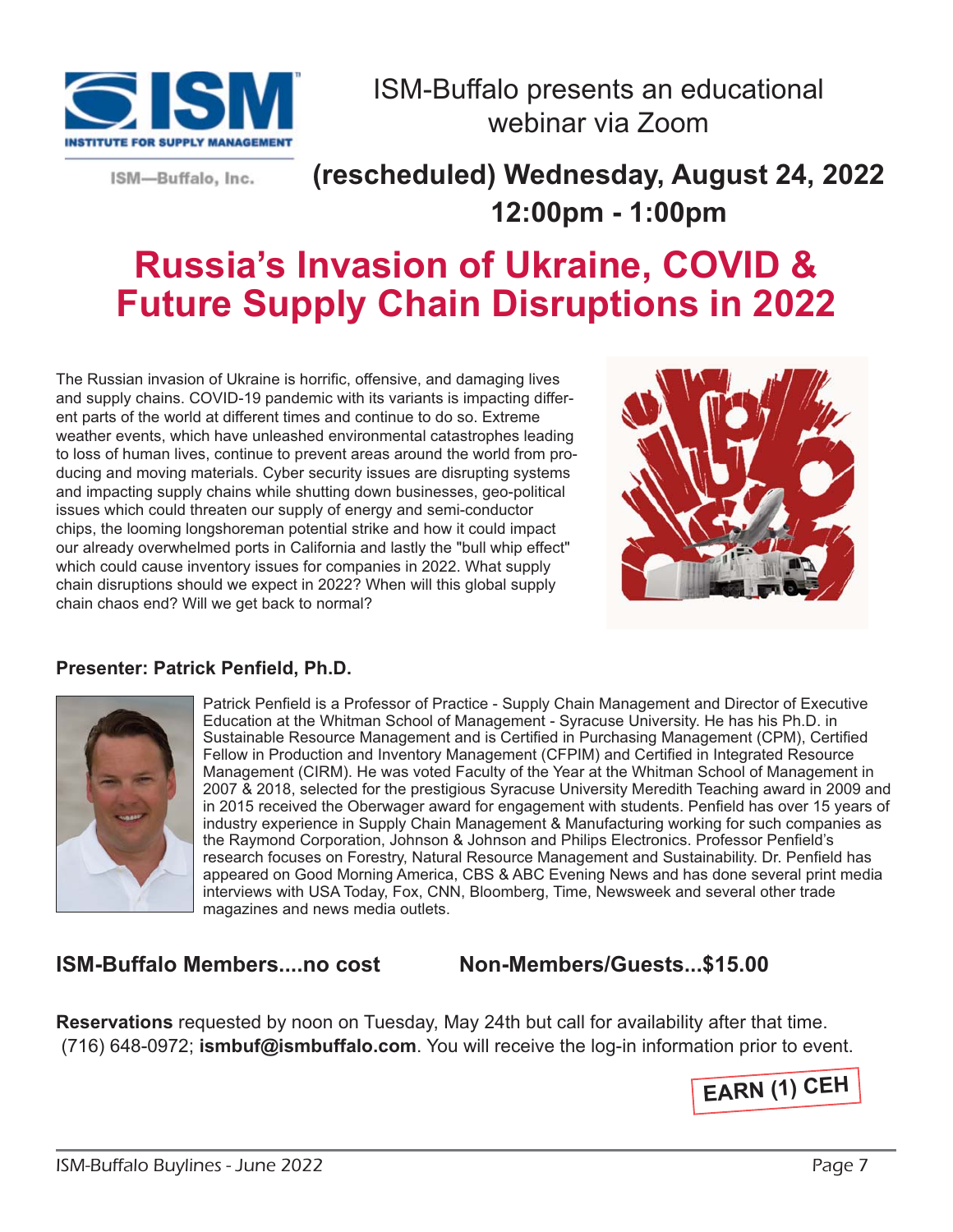

ISM-Buffalo, Inc.

## ISM-Buffalo presents an educational webinar via Zoom

**(rescheduled) Wednesday, August 24, 2022 12:00pm - 1:00pm** 

## **Russia's Invasion of Ukraine, COVID & Future Supply Chain Disruptions in 2022**

The Russian invasion of Ukraine is horrific, offensive, and damaging lives and supply chains. COVID-19 pandemic with its variants is impacting different parts of the world at different times and continue to do so. Extreme weather events, which have unleashed environmental catastrophes leading to loss of human lives, continue to prevent areas around the world from producing and moving materials. Cyber security issues are disrupting systems and impacting supply chains while shutting down businesses, geo-political issues which could threaten our supply of energy and semi-conductor chips, the looming longshoreman potential strike and how it could impact our already overwhelmed ports in California and lastly the "bull whip effect" which could cause inventory issues for companies in 2022. What supply chain disruptions should we expect in 2022? When will this global supply chain chaos end? Will we get back to normal?



#### **Presenter: Patrick Penfield, Ph.D.**



Patrick Penfield is a Professor of Practice - Supply Chain Management and Director of Executive Education at the Whitman School of Management - Syracuse University. He has his Ph.D. in Sustainable Resource Management and is Certified in Purchasing Management (CPM), Certified Fellow in Production and Inventory Management (CFPIM) and Certified in Integrated Resource Management (CIRM). He was voted Faculty of the Year at the Whitman School of Management in 2007 & 2018, selected for the prestigious Syracuse University Meredith Teaching award in 2009 and in 2015 received the Oberwager award for engagement with students. Penfield has over 15 years of industry experience in Supply Chain Management & Manufacturing working for such companies as the Raymond Corporation, Johnson & Johnson and Philips Electronics. Professor Penfield's research focuses on Forestry, Natural Resource Management and Sustainability. Dr. Penfield has appeared on Good Morning America, CBS & ABC Evening News and has done several print media interviews with USA Today, Fox, CNN, Bloomberg, Time, Newsweek and several other trade magazines and news media outlets.

#### **ISM-Buffalo Members....no cost Non-Members/Guests...\$15.00**

**Reservations** requested by noon on Tuesday, May 24th but call for availability after that time. (716) 648-0972; **ismbuf@ismbuffalo.com**. You will receive the log-in information prior to event.